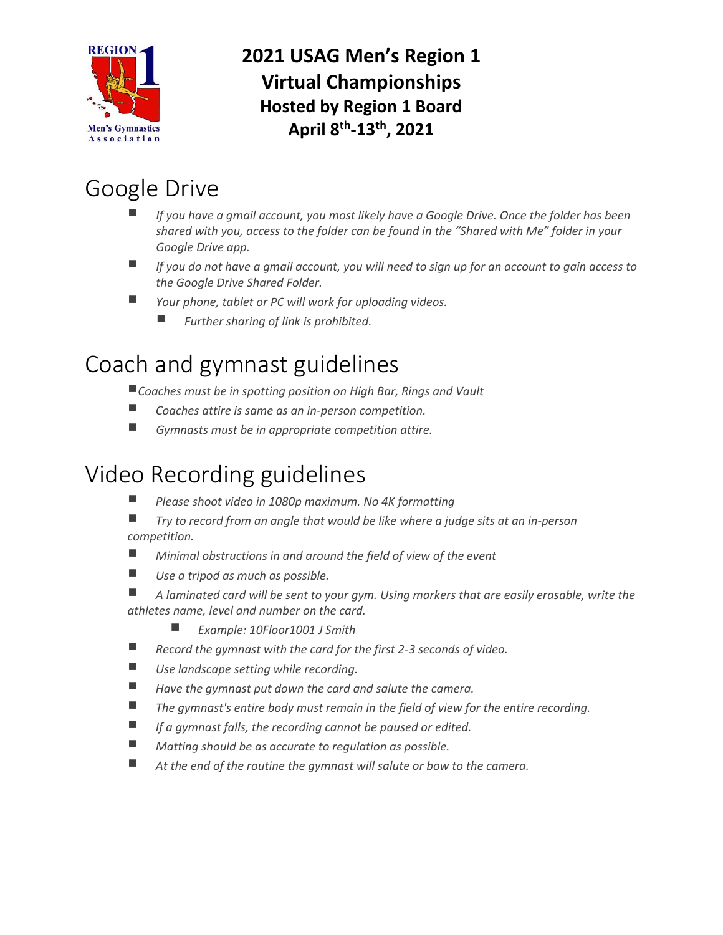

**2021 USAG Men's Region 1 Virtual Championships Hosted by Region 1 Board April 8th -13th, 2021**

# Google Drive

- *If you have a gmail account, you most likely have a Google Drive. Once the folder has been shared with you, access to the folder can be found in the "Shared with Me" folder in your Google Drive app.*
- *If you do not have a gmail account, you will need to sign up for an account to gain access to the Google Drive Shared Folder.*
- *Your phone, tablet or PC will work for uploading videos.*
	- *Further sharing of link is prohibited.*

# Coach and gymnast guidelines

*Coaches must be in spotting position on High Bar, Rings and Vault*

- *Coaches attire is same as an in-person competition.*
- *Gymnasts must be in appropriate competition attire.*

### Video Recording guidelines

- *Please shoot video in 1080p maximum. No 4K formatting*
- *Try to record from an angle that would be like where a judge sits at an in-person competition.*
- *Minimal obstructions in and around the field of view of the event*
- Use a tripod as much as possible.
- *A laminated card will be sent to your gym. Using markers that are easily erasable, write the athletes name, level and number on the card.*
	- *Example: 10Floor1001 J Smith*
- Record the gymnast with the card for the first 2-3 seconds of video.
- Use landscape setting while recording.
- *Have the gymnast put down the card and salute the camera.*
- *The gymnast's entire body must remain in the field of view for the entire recording.*
- *If a gymnast falls, the recording cannot be paused or edited.*
- *Matting should be as accurate to regulation as possible.*
- *At the end of the routine the gymnast will salute or bow to the camera.*